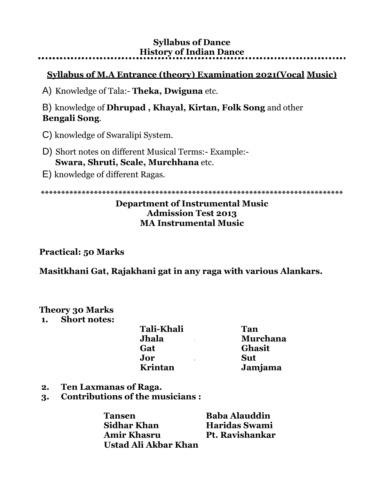### **Syllabus of Dance History of Indian Dance**

## **Syllabus of M.A Entrance (theory) Examination 2021(Vocal Music)**

A) Knowledge of Tala:- **Theka, Dwiguna** etc.

B) knowledge of **Dhrupad , Khayal, Kirtan, Folk Song** and other **Bengali Song**.

- C) knowledge of Swaralipi System.
- D) Short notes on different Musical Terms:- Example:- **Swara, Shruti, Scale, Murchhana** etc.
- E) knowledge of different Ragas.

**\*\*\*\*\*\*\*\*\*\*\*\*\*\*\*\*\*\*\*\*\*\*\*\*\*\*\*\*\*\*\*\*\*\*\*\*\*\*\*\*\*\*\*\*\*\*\*\*\*\*\*\*\*\*\*\*\*\*\*\*\*\*\*\*\*\*\*\*\*\*\*\*\*\***

### **Department of Instrumental Music Admission Test 2013 MA Instrumental Music**

### **Practical: 50 Marks**

**Masitkhani Gat, Rajakhani gat in any raga with various Alankars.**

## **Theory 30 Marks**

#### **1. Short notes:**

| <b>Tali-Khali</b> | Tan             |
|-------------------|-----------------|
| <b>Jhala</b>      | <b>Murchana</b> |
| Gat               | <b>Ghasit</b>   |
| Jor               | <b>Sut</b>      |
| Krintan           | Jamjama         |

- **2. Ten Laxmanas of Raga.**
- **3. Contributions of the musicians :**

| Tansen               | <b>Baba Alauddin</b> |
|----------------------|----------------------|
| Sidhar Khan          | <b>Haridas Swami</b> |
| <b>Amir Khasru</b>   | Pt. Ravishankar      |
| Ustad Ali Akbar Khan |                      |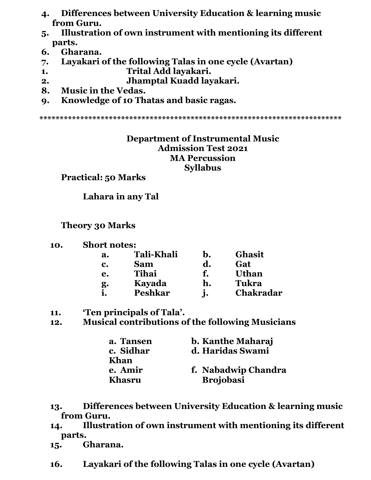- **4. Differences between University Education & learning music from Guru.**
- **5. Illustration of own instrument with mentioning its different parts.**
- **6. Gharana.**
- **7. Layakari of the following Talas in one cycle (Avartan)**
- **1. Trital Add layakari.**
- **2. Jhamptal Kuadd layakari.**
- **8. Music in the Vedas.**
- **9. Knowledge of 10 Thatas and basic ragas.**

**\*\*\*\*\*\*\*\*\*\*\*\*\*\*\*\*\*\*\*\*\*\*\*\*\*\*\*\*\*\*\*\*\*\*\*\*\*\*\*\*\*\*\*\*\*\*\*\*\*\*\*\*\*\*\*\*\*\*\*\*\*\*\*\*\*\*\*\*\*\*\*\*\*\***

### **Department of Instrumental Music Admission Test 2021 MA Percussion Syllabus**

**Practical: 50 Marks**

**Lahara in any Tal**

**Theory 30 Marks**

**10. Short notes:**

| a. | <b>Tali-Khali</b> | b.             | <b>Ghasit</b>    |
|----|-------------------|----------------|------------------|
| c. | <b>Sam</b>        | d.             | Gat              |
| e. | Tihai             | f.             | <b>Uthan</b>     |
| g. | Kayada            | h.             | <b>Tukra</b>     |
|    | <b>Peshkar</b>    | $\mathbf{i}$ . | <b>Chakradar</b> |

- **11. 'Ten principals of Tala'.**
- **12. Musical contributions of the following Musicians**

| a. Tansen | b. Kanthe Maharaj   |
|-----------|---------------------|
| c. Sidhar | d. Haridas Swami    |
| Khan      |                     |
| e. Amir   | f. Nabadwip Chandra |
| Khasru    | <b>Brojobasi</b>    |

- **13. Differences between University Education & learning music from Guru.**
- **14. Illustration of own instrument with mentioning its different parts.**

**15. Gharana.** 

**16. Layakari of the following Talas in one cycle (Avartan)**